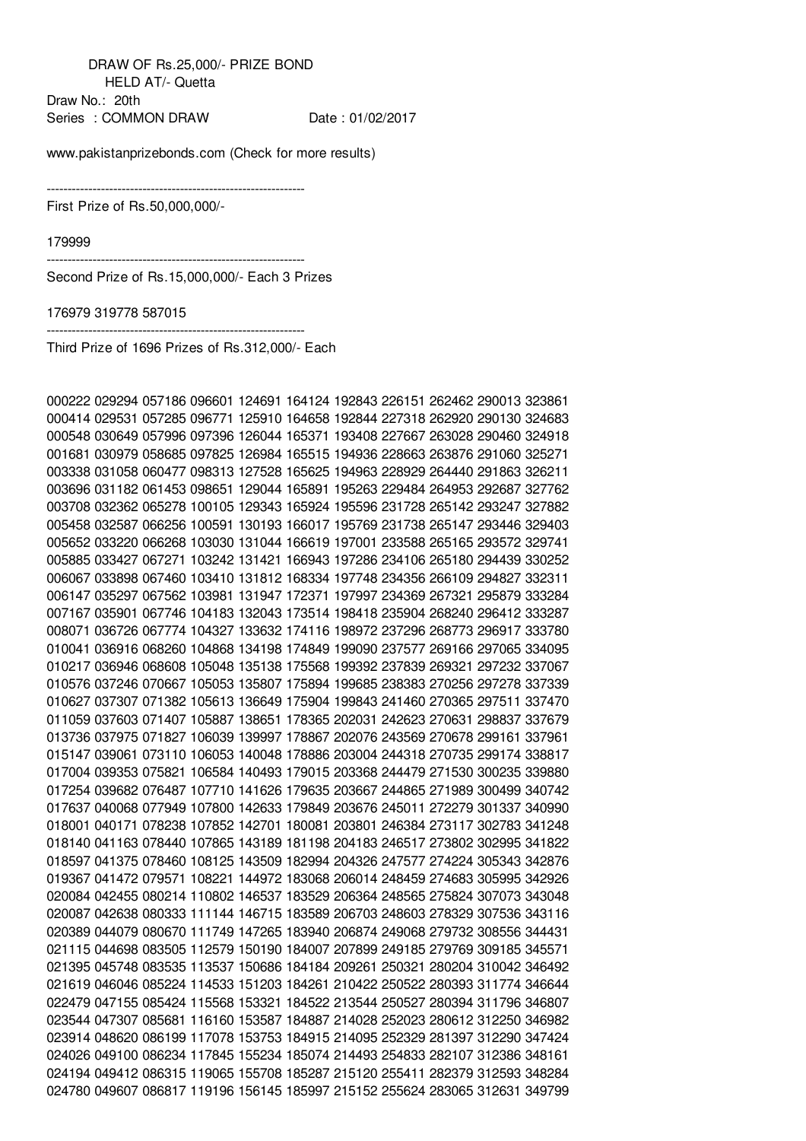DRAW OF Rs.25,000/- PRIZE BOND HELD AT/- Quetta Draw No.: 20th Series : COMMON DRAW Date : 01/02/2017

--------------------------------------------------------------

www.pakistanprizebonds.com (Check for more results)

First Prize of Rs.50,000,000/-

-------------------------------------------------------------- Second Prize of Rs.15,000,000/- Each 3 Prizes

319778 587015

Third Prize of 1696 Prizes of Rs.312,000/- Each

--------------------------------------------------------------

|  |  |  |  | 000222 029294 057186 096601 124691 164124 192843 226151 262462 290013 323861 |  |
|--|--|--|--|------------------------------------------------------------------------------|--|
|  |  |  |  | 000414 029531 057285 096771 125910 164658 192844 227318 262920 290130 324683 |  |
|  |  |  |  | 000548 030649 057996 097396 126044 165371 193408 227667 263028 290460 324918 |  |
|  |  |  |  | 001681 030979 058685 097825 126984 165515 194936 228663 263876 291060 325271 |  |
|  |  |  |  | 003338 031058 060477 098313 127528 165625 194963 228929 264440 291863 326211 |  |
|  |  |  |  | 003696 031182 061453 098651 129044 165891 195263 229484 264953 292687 327762 |  |
|  |  |  |  | 003708 032362 065278 100105 129343 165924 195596 231728 265142 293247 327882 |  |
|  |  |  |  | 005458 032587 066256 100591 130193 166017 195769 231738 265147 293446 329403 |  |
|  |  |  |  | 005652 033220 066268 103030 131044 166619 197001 233588 265165 293572 329741 |  |
|  |  |  |  | 005885 033427 067271 103242 131421 166943 197286 234106 265180 294439 330252 |  |
|  |  |  |  | 006067 033898 067460 103410 131812 168334 197748 234356 266109 294827 332311 |  |
|  |  |  |  | 006147 035297 067562 103981 131947 172371 197997 234369 267321 295879 333284 |  |
|  |  |  |  | 007167 035901 067746 104183 132043 173514 198418 235904 268240 296412 333287 |  |
|  |  |  |  | 008071 036726 067774 104327 133632 174116 198972 237296 268773 296917 333780 |  |
|  |  |  |  | 010041 036916 068260 104868 134198 174849 199090 237577 269166 297065 334095 |  |
|  |  |  |  | 010217 036946 068608 105048 135138 175568 199392 237839 269321 297232 337067 |  |
|  |  |  |  | 010576 037246 070667 105053 135807 175894 199685 238383 270256 297278 337339 |  |
|  |  |  |  | 010627 037307 071382 105613 136649 175904 199843 241460 270365 297511 337470 |  |
|  |  |  |  | 011059 037603 071407 105887 138651 178365 202031 242623 270631 298837 337679 |  |
|  |  |  |  | 013736 037975 071827 106039 139997 178867 202076 243569 270678 299161 337961 |  |
|  |  |  |  | 015147 039061 073110 106053 140048 178886 203004 244318 270735 299174 338817 |  |
|  |  |  |  | 017004 039353 075821 106584 140493 179015 203368 244479 271530 300235 339880 |  |
|  |  |  |  | 017254 039682 076487 107710 141626 179635 203667 244865 271989 300499 340742 |  |
|  |  |  |  | 017637 040068 077949 107800 142633 179849 203676 245011 272279 301337 340990 |  |
|  |  |  |  | 018001 040171 078238 107852 142701 180081 203801 246384 273117 302783 341248 |  |
|  |  |  |  | 018140 041163 078440 107865 143189 181198 204183 246517 273802 302995 341822 |  |
|  |  |  |  | 018597 041375 078460 108125 143509 182994 204326 247577 274224 305343 342876 |  |
|  |  |  |  | 019367 041472 079571 108221 144972 183068 206014 248459 274683 305995 342926 |  |
|  |  |  |  | 020084 042455 080214 110802 146537 183529 206364 248565 275824 307073 343048 |  |
|  |  |  |  | 020087 042638 080333 111144 146715 183589 206703 248603 278329 307536 343116 |  |
|  |  |  |  | 020389 044079 080670 111749 147265 183940 206874 249068 279732 308556 344431 |  |
|  |  |  |  | 021115 044698 083505 112579 150190 184007 207899 249185 279769 309185 345571 |  |
|  |  |  |  | 021395 045748 083535 113537 150686 184184 209261 250321 280204 310042 346492 |  |
|  |  |  |  | 021619 046046 085224 114533 151203 184261 210422 250522 280393 311774 346644 |  |
|  |  |  |  | 022479 047155 085424 115568 153321 184522 213544 250527 280394 311796 346807 |  |
|  |  |  |  | 023544 047307 085681 116160 153587 184887 214028 252023 280612 312250 346982 |  |
|  |  |  |  | 023914 048620 086199 117078 153753 184915 214095 252329 281397 312290 347424 |  |
|  |  |  |  | 024026 049100 086234 117845 155234 185074 214493 254833 282107 312386 348161 |  |
|  |  |  |  | 024194 049412 086315 119065 155708 185287 215120 255411 282379 312593 348284 |  |
|  |  |  |  | 024780 049607 086817 119196 156145 185997 215152 255624 283065 312631 349799 |  |